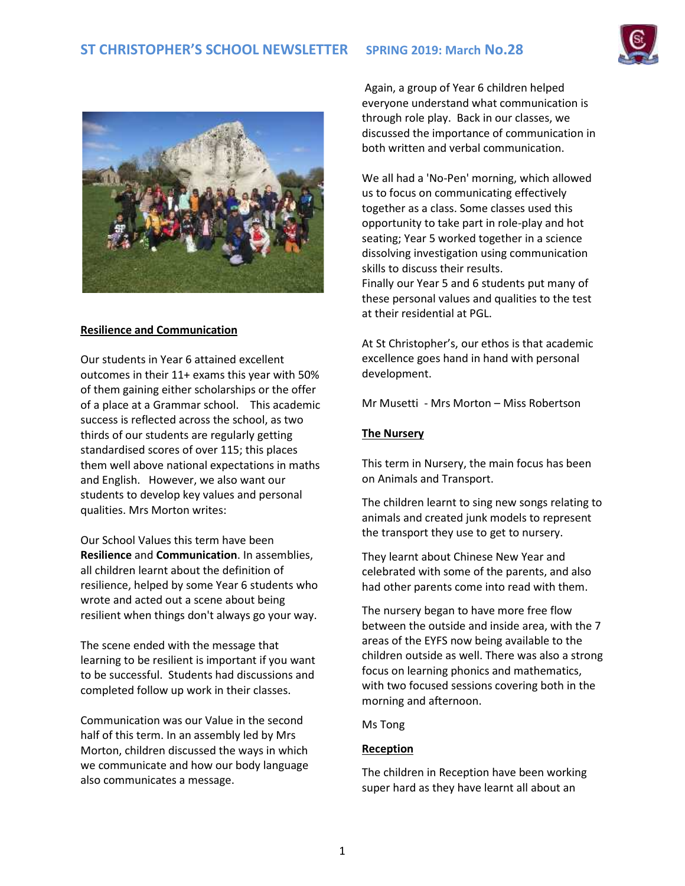



# **Resilience and Communication**

Our students in Year 6 attained excellent outcomes in their 11+ exams this year with 50% of them gaining either scholarships or the offer of a place at a Grammar school. This academic success is reflected across the school, as two thirds of our students are regularly getting standardised scores of over 115; this places them well above national expectations in maths and English. However, we also want our students to develop key values and personal qualities. Mrs Morton writes:

Our School Values this term have been **Resilience** and **Communication**. In assemblies, all children learnt about the definition of resilience, helped by some Year 6 students who wrote and acted out a scene about being resilient when things don't always go your way.

The scene ended with the message that learning to be resilient is important if you want to be successful. Students had discussions and completed follow up work in their classes.

Communication was our Value in the second half of this term. In an assembly led by Mrs Morton, children discussed the ways in which we communicate and how our body language also communicates a message.

Again, a group of Year 6 children helped everyone understand what communication is through role play. Back in our classes, we discussed the importance of communication in both written and verbal communication.

We all had a 'No-Pen' morning, which allowed us to focus on communicating effectively together as a class. Some classes used this opportunity to take part in role-play and hot seating; Year 5 worked together in a science dissolving investigation using communication skills to discuss their results. Finally our Year 5 and 6 students put many of these personal values and qualities to the test at their residential at PGL.

At St Christopher's, our ethos is that academic excellence goes hand in hand with personal development.

Mr Musetti - Mrs Morton – Miss Robertson

## **The Nursery**

This term in Nursery, the main focus has been on Animals and Transport.

The children learnt to sing new songs relating to animals and created junk models to represent the transport they use to get to nursery.

They learnt about Chinese New Year and celebrated with some of the parents, and also had other parents come into read with them.

The nursery began to have more free flow between the outside and inside area, with the 7 areas of the EYFS now being available to the children outside as well. There was also a strong focus on learning phonics and mathematics, with two focused sessions covering both in the morning and afternoon.

Ms Tong

## **Reception**

The children in Reception have been working super hard as they have learnt all about an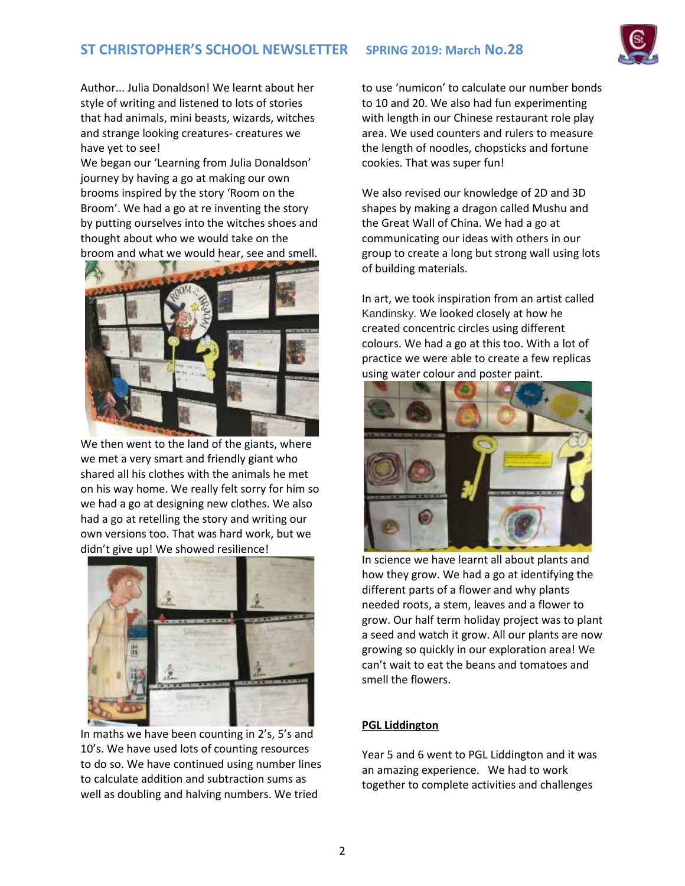

Author... Julia Donaldson! We learnt about her style of writing and listened to lots of stories that had animals, mini beasts, wizards, witches and strange looking creatures- creatures we have yet to see!

We began our 'Learning from Julia Donaldson' journey by having a go at making our own brooms inspired by the story 'Room on the Broom'. We had a go at re inventing the story by putting ourselves into the witches shoes and thought about who we would take on the broom and what we would hear, see and smell.



We then went to the land of the giants, where we met a very smart and friendly giant who shared all his clothes with the animals he met on his way home. We really felt sorry for him so we had a go at designing new clothes. We also had a go at retelling the story and writing our own versions too. That was hard work, but we didn't give up! We showed resilience!



In maths we have been counting in 2's, 5's and 10's. We have used lots of counting resources to do so. We have continued using number lines to calculate addition and subtraction sums as well as doubling and halving numbers. We tried

to use 'numicon' to calculate our number bonds to 10 and 20. We also had fun experimenting with length in our Chinese restaurant role play area. We used counters and rulers to measure the length of noodles, chopsticks and fortune cookies. That was super fun!

We also revised our knowledge of 2D and 3D shapes by making a dragon called Mushu and the Great Wall of China. We had a go at communicating our ideas with others in our group to create a long but strong wall using lots of building materials.

In art, we took inspiration from an artist called Kandinsky. We looked closely at how he created concentric circles using different colours. We had a go at this too. With a lot of practice we were able to create a few replicas using water colour and poster paint.



In science we have learnt all about plants and how they grow. We had a go at identifying the different parts of a flower and why plants needed roots, a stem, leaves and a flower to grow. Our half term holiday project was to plant a seed and watch it grow. All our plants are now growing so quickly in our exploration area! We can't wait to eat the beans and tomatoes and smell the flowers.

## **PGL Liddington**

Year 5 and 6 went to PGL Liddington and it was an amazing experience. We had to work together to complete activities and challenges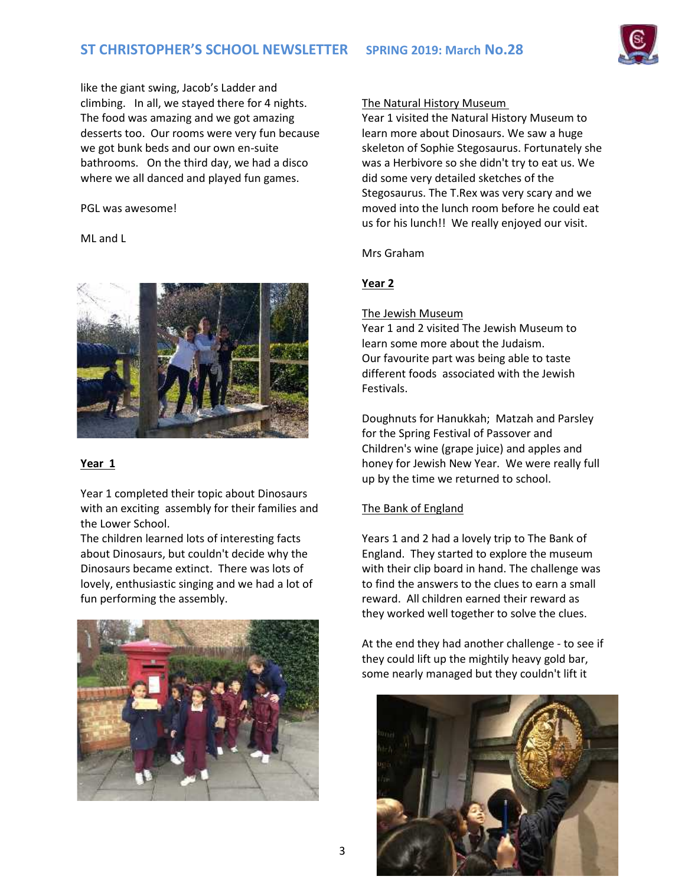like the giant swing, Jacob's Ladder and climbing. In all, we stayed there for 4 nights. The food was amazing and we got amazing desserts too. Our rooms were very fun because we got bunk beds and our own en-suite bathrooms. On the third day, we had a disco where we all danced and played fun games.

#### PGL was awesome!

ML and L



# **Year 1**

Year 1 completed their topic about Dinosaurs with an exciting assembly for their families and the Lower School.

The children learned lots of interesting facts about Dinosaurs, but couldn't decide why the Dinosaurs became extinct. There was lots of lovely, enthusiastic singing and we had a lot of fun performing the assembly.



## The Natural History Museum

Year 1 visited the Natural History Museum to learn more about Dinosaurs. We saw a huge skeleton of Sophie Stegosaurus. Fortunately she was a Herbivore so she didn't try to eat us. We did some very detailed sketches of the Stegosaurus. The T.Rex was very scary and we moved into the lunch room before he could eat us for his lunch!! We really enjoyed our visit.

## Mrs Graham

# **Year 2**

## The Jewish Museum

Year 1 and 2 visited The Jewish Museum to learn some more about the Judaism. Our favourite part was being able to taste different foods associated with the Jewish Festivals.

Doughnuts for Hanukkah; Matzah and Parsley for the Spring Festival of Passover and Children's wine (grape juice) and apples and honey for Jewish New Year. We were really full up by the time we returned to school.

# The Bank of England

Years 1 and 2 had a lovely trip to The Bank of England. They started to explore the museum with their clip board in hand. The challenge was to find the answers to the clues to earn a small reward. All children earned their reward as they worked well together to solve the clues.

At the end they had another challenge - to see if they could lift up the mightily heavy gold bar, some nearly managed but they couldn't lift it

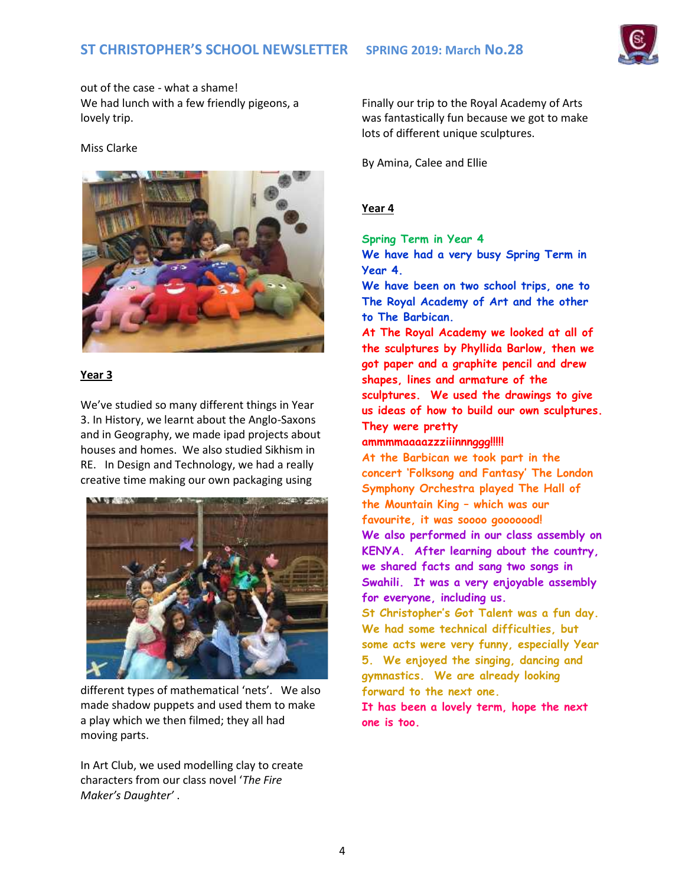

out of the case - what a shame! We had lunch with a few friendly pigeons, a lovely trip.

## Miss Clarke



# **Year 3**

We've studied so many different things in Year 3. In History, we learnt about the Anglo-Saxons and in Geography, we made ipad projects about houses and homes. We also studied Sikhism in RE. In Design and Technology, we had a really creative time making our own packaging using



different types of mathematical 'nets'. We also made shadow puppets and used them to make a play which we then filmed; they all had moving parts.

In Art Club, we used modelling clay to create characters from our class novel '*The Fire Maker's Daughter'* .

Finally our trip to the Royal Academy of Arts was fantastically fun because we got to make lots of different unique sculptures.

By Amina, Calee and Ellie

# **Year 4**

**Spring Term in Year 4 We have had a very busy Spring Term in Year 4.**

**We have been on two school trips, one to The Royal Academy of Art and the other to The Barbican.**

**At The Royal Academy we looked at all of the sculptures by Phyllida Barlow, then we got paper and a graphite pencil and drew shapes, lines and armature of the sculptures. We used the drawings to give us ideas of how to build our own sculptures. They were pretty**

## **ammmmaaaazzziiinnnggg!!!!!**

**At the Barbican we took part in the concert 'Folksong and Fantasy' The London Symphony Orchestra played The Hall of the Mountain King – which was our favourite, it was soooo gooooood! We also performed in our class assembly on KENYA. After learning about the country, we shared facts and sang two songs in Swahili. It was a very enjoyable assembly for everyone, including us. St Christopher's Got Talent was a fun day.**

**We had some technical difficulties, but some acts were very funny, especially Year 5. We enjoyed the singing, dancing and gymnastics. We are already looking forward to the next one.**

**It has been a lovely term, hope the next one is too.**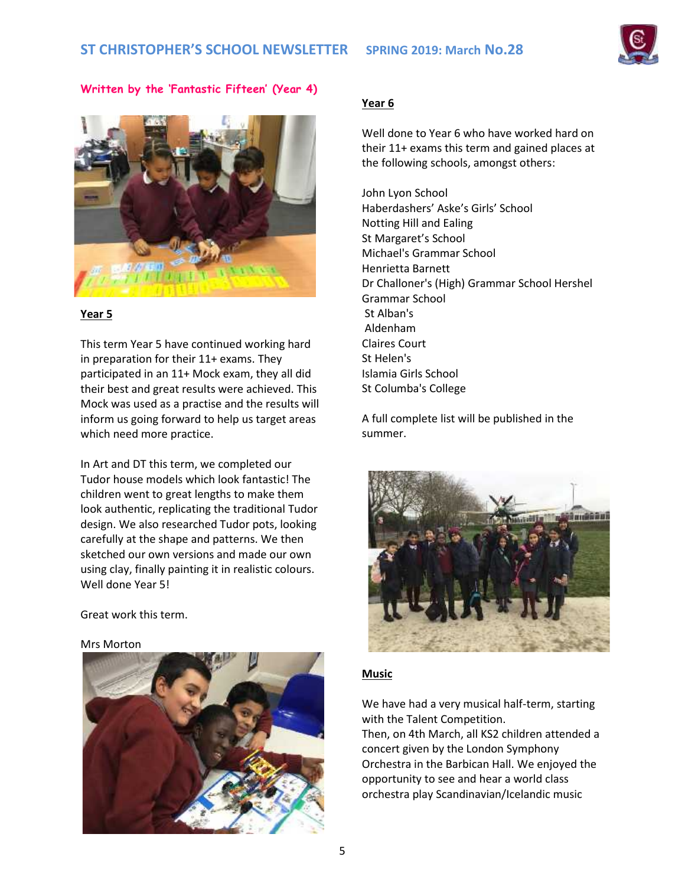

**Written by the 'Fantastic Fifteen' (Year 4)**



# **Year 5**

This term Year 5 have continued working hard in preparation for their 11+ exams. They participated in an 11+ Mock exam, they all did their best and great results were achieved. This Mock was used as a practise and the results will inform us going forward to help us target areas which need more practice.

In Art and DT this term, we completed our Tudor house models which look fantastic! The children went to great lengths to make them look authentic, replicating the traditional Tudor design. We also researched Tudor pots, looking carefully at the shape and patterns. We then sketched our own versions and made our own using clay, finally painting it in realistic colours. Well done Year 5!

Great work this term.





# **Year 6**

Well done to Year 6 who have worked hard on their 11+ exams this term and gained places at the following schools, amongst others:

John Lyon School Haberdashers' Aske's Girls' School Notting Hill and Ealing St Margaret's School Michael's Grammar School Henrietta Barnett Dr Challoner's (High) Grammar School Hershel Grammar School St Alban's Aldenham Claires Court St Helen's Islamia Girls School St Columba's College

A full complete list will be published in the summer.



# **Music**

We have had a very musical half-term, starting with the Talent Competition.

Then, on 4th March, all KS2 children attended a concert given by the London Symphony Orchestra in the Barbican Hall. We enjoyed the opportunity to see and hear a world class orchestra play Scandinavian/Icelandic music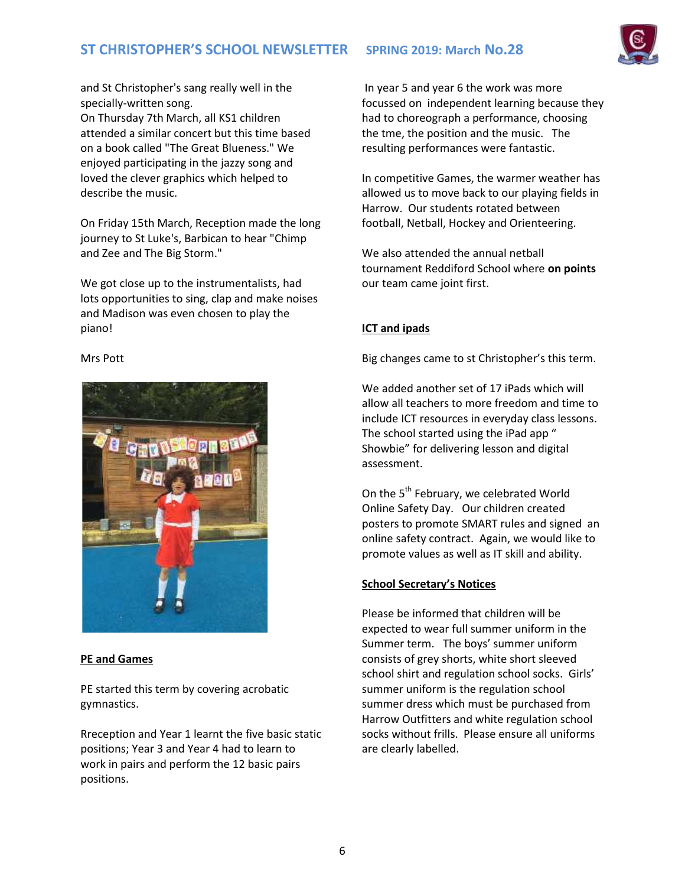# **ST CHRISTOPHER'S SCHOOL NEWSLETTER SPRING 2019: March No.28**



and St Christopher's sang really well in the specially-written song.

On Thursday 7th March, all KS1 children attended a similar concert but this time based on a book called "The Great Blueness." We enjoyed participating in the jazzy song and loved the clever graphics which helped to describe the music.

On Friday 15th March, Reception made the long journey to St Luke's, Barbican to hear "Chimp and Zee and The Big Storm."

We got close up to the instrumentalists, had lots opportunities to sing, clap and make noises and Madison was even chosen to play the piano!

#### Mrs Pott



## **PE and Games**

PE started this term by covering acrobatic gymnastics.

Rreception and Year 1 learnt the five basic static positions; Year 3 and Year 4 had to learn to work in pairs and perform the 12 basic pairs positions.

In year 5 and year 6 the work was more focussed on independent learning because they had to choreograph a performance, choosing the tme, the position and the music. The resulting performances were fantastic.

In competitive Games, the warmer weather has allowed us to move back to our playing fields in Harrow. Our students rotated between football, Netball, Hockey and Orienteering.

We also attended the annual netball tournament Reddiford School where **on points** our team came joint first.

## **ICT and ipads**

Big changes came to st Christopher's this term.

We added another set of 17 iPads which will allow all teachers to more freedom and time to include ICT resources in everyday class lessons. The school started using the iPad app " Showbie" for delivering lesson and digital assessment.

On the 5<sup>th</sup> February, we celebrated World Online Safety Day. Our children created posters to promote SMART rules and signed an online safety contract. Again, we would like to promote values as well as IT skill and ability.

# **School Secretary's Notices**

Please be informed that children will be expected to wear full summer uniform in the Summer term. The boys' summer uniform consists of grey shorts, white short sleeved school shirt and regulation school socks. Girls' summer uniform is the regulation school summer dress which must be purchased from Harrow Outfitters and white regulation school socks without frills. Please ensure all uniforms are clearly labelled.